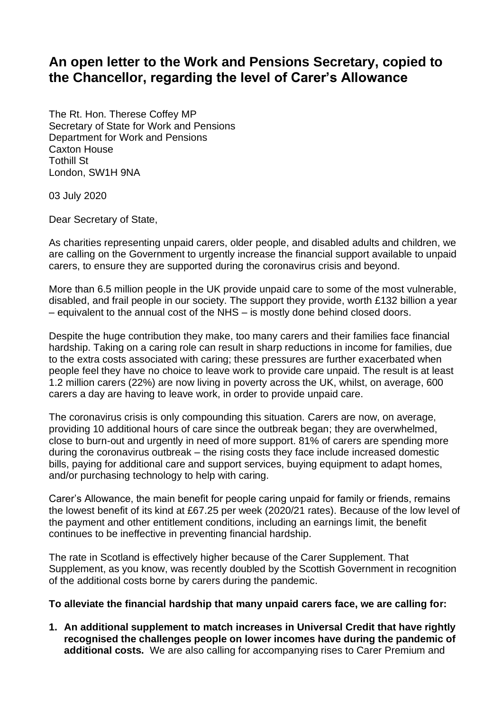## **An open letter to the Work and Pensions Secretary, copied to the Chancellor, regarding the level of Carer's Allowance**

The Rt. Hon. Therese Coffey MP Secretary of State for Work and Pensions Department for Work and Pensions Caxton House Tothill St London, SW1H 9NA

03 July 2020

Dear Secretary of State,

As charities representing unpaid carers, older people, and disabled adults and children, we are calling on the Government to urgently increase the financial support available to unpaid carers, to ensure they are supported during the coronavirus crisis and beyond.

More than 6.5 million people in the UK provide unpaid care to some of the most vulnerable, disabled, and frail people in our society. The support they provide, worth £132 billion a year – equivalent to the annual cost of the NHS – is mostly done behind closed doors.

Despite the huge contribution they make, too many carers and their families face financial hardship. Taking on a caring role can result in sharp reductions in income for families, due to the extra costs associated with caring; these pressures are further exacerbated when people feel they have no choice to leave work to provide care unpaid. The result is at least 1.2 million carers (22%) are now living in poverty across the UK, whilst, on average, 600 carers a day are having to leave work, in order to provide unpaid care.

The coronavirus crisis is only compounding this situation. Carers are now, on average, providing 10 additional hours of care since the outbreak began; they are overwhelmed, close to burn-out and urgently in need of more support. 81% of carers are spending more during the coronavirus outbreak – the rising costs they face include increased domestic bills, paying for additional care and support services, buying equipment to adapt homes, and/or purchasing technology to help with caring.

Carer's Allowance, the main benefit for people caring unpaid for family or friends, remains the lowest benefit of its kind at £67.25 per week (2020/21 rates). Because of the low level of the payment and other entitlement conditions, including an earnings limit, the benefit continues to be ineffective in preventing financial hardship.

The rate in Scotland is effectively higher because of the Carer Supplement. That Supplement, as you know, was recently doubled by the Scottish Government in recognition of the additional costs borne by carers during the pandemic.

## **To alleviate the financial hardship that many unpaid carers face, we are calling for:**

**1. An additional supplement to match increases in Universal Credit that have rightly recognised the challenges people on lower incomes have during the pandemic of additional costs.** We are also calling for accompanying rises to Carer Premium and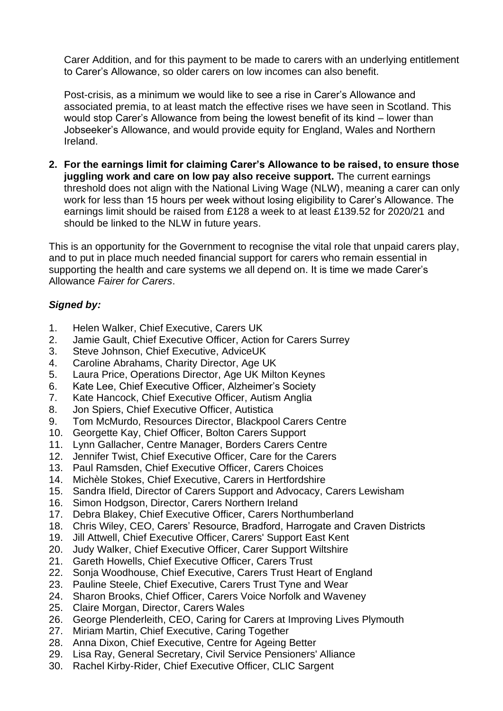Carer Addition, and for this payment to be made to carers with an underlying entitlement to Carer's Allowance, so older carers on low incomes can also benefit.

Post-crisis, as a minimum we would like to see a rise in Carer's Allowance and associated premia, to at least match the effective rises we have seen in Scotland. This would stop Carer's Allowance from being the lowest benefit of its kind – lower than Jobseeker's Allowance, and would provide equity for England, Wales and Northern Ireland.

**2. For the earnings limit for claiming Carer's Allowance to be raised, to ensure those juggling work and care on low pay also receive support.** The current earnings threshold does not align with the National Living Wage (NLW), meaning a carer can only work for less than 15 hours per week without losing eligibility to Carer's Allowance. The earnings limit should be raised from £128 a week to at least £139.52 for 2020/21 and should be linked to the NLW in future years.

This is an opportunity for the Government to recognise the vital role that unpaid carers play, and to put in place much needed financial support for carers who remain essential in supporting the health and care systems we all depend on. It is time we made Carer's Allowance *Fairer for Carers*.

## *Signed by:*

- 1. Helen Walker, Chief Executive, Carers UK
- 2. Jamie Gault, Chief Executive Officer, Action for Carers Surrey
- 3. Steve Johnson, Chief Executive, AdviceUK
- 4. Caroline Abrahams, Charity Director, Age UK
- 5. Laura Price, Operations Director, Age UK Milton Keynes
- 6. Kate Lee, Chief Executive Officer, Alzheimer's Society
- 7. Kate Hancock, Chief Executive Officer, Autism Anglia
- 8. Jon Spiers, Chief Executive Officer, Autistica
- 9. Tom McMurdo, Resources Director, Blackpool Carers Centre
- 10. Georgette Kay, Chief Officer, Bolton Carers Support
- 11. Lynn Gallacher, Centre Manager, Borders Carers Centre
- 12. Jennifer Twist, Chief Executive Officer, Care for the Carers
- 13. Paul Ramsden, Chief Executive Officer, Carers Choices
- 14. Michèle Stokes, Chief Executive, Carers in Hertfordshire
- 15. Sandra Ifield, Director of Carers Support and Advocacy, Carers Lewisham
- 16. Simon Hodgson, Director, Carers Northern Ireland
- 17. Debra Blakey, Chief Executive Officer, Carers Northumberland
- 18. Chris Wiley, CEO, Carers' Resource, Bradford, Harrogate and Craven Districts
- 19. Jill Attwell, Chief Executive Officer, Carers' Support East Kent
- 20. Judy Walker, Chief Executive Officer, Carer Support Wiltshire
- 21. Gareth Howells, Chief Executive Officer, Carers Trust
- 22. Sonia Woodhouse, Chief Executive, Carers Trust Heart of England
- 23. Pauline Steele, Chief Executive, Carers Trust Tyne and Wear
- 24. Sharon Brooks, Chief Officer, Carers Voice Norfolk and Waveney
- 25. Claire Morgan, Director, Carers Wales
- 26. George Plenderleith, CEO, Caring for Carers at Improving Lives Plymouth
- 27. Miriam Martin, Chief Executive, Caring Together
- 28. Anna Dixon, Chief Executive, Centre for Ageing Better
- 29. Lisa Ray, General Secretary, Civil Service Pensioners' Alliance
- 30. Rachel Kirby-Rider, Chief Executive Officer, CLIC Sargent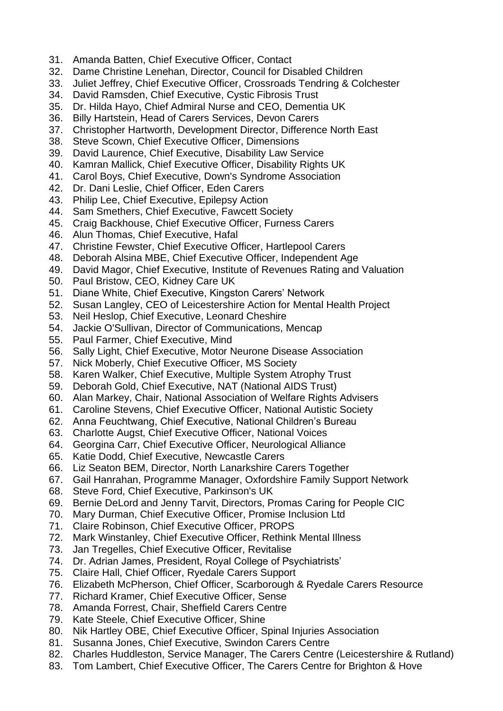- 31. Amanda Batten, Chief Executive Officer, Contact
- 32. Dame Christine Lenehan, Director, Council for Disabled Children
- 33. Juliet Jeffrey, Chief Executive Officer, Crossroads Tendring & Colchester
- 34. David Ramsden, Chief Executive, Cystic Fibrosis Trust
- 35. Dr. Hilda Hayo, Chief Admiral Nurse and CEO, Dementia UK
- 36. Billy Hartstein, Head of Carers Services, Devon Carers
- 37. Christopher Hartworth, Development Director, Difference North East
- 38. Steve Scown, Chief Executive Officer, Dimensions
- 39. David Laurence, Chief Executive, Disability Law Service
- 40. Kamran Mallick, Chief Executive Officer, Disability Rights UK
- 41. Carol Boys, Chief Executive, Down's Syndrome Association
- 42. Dr. Dani Leslie, Chief Officer, Eden Carers
- 43. Philip Lee, Chief Executive, Epilepsy Action
- 44. Sam Smethers, Chief Executive, Fawcett Society
- 45. Craig Backhouse, Chief Executive Officer, Furness Carers
- 46. Alun Thomas, Chief Executive, Hafal
- 47. Christine Fewster, Chief Executive Officer, Hartlepool Carers
- 48. Deborah Alsina MBE, Chief Executive Officer, Independent Age
- 49. David Magor, Chief Executive, Institute of Revenues Rating and Valuation
- 50. Paul Bristow, CEO, Kidney Care UK
- 51. Diane White, Chief Executive, Kingston Carers' Network
- 52. Susan Langley, CEO of Leicestershire Action for Mental Health Project
- 53. Neil Heslop, Chief Executive, Leonard Cheshire
- 54. Jackie O'Sullivan, Director of Communications, Mencap
- 55. Paul Farmer, Chief Executive, Mind
- 56. Sally Light, Chief Executive, Motor Neurone Disease Association
- 57. Nick Moberly, Chief Executive Officer, MS Society
- 58. Karen Walker, Chief Executive, Multiple System Atrophy Trust
- 59. Deborah Gold, Chief Executive, NAT (National AIDS Trust)
- 60. Alan Markey, Chair, National Association of Welfare Rights Advisers
- 61. Caroline Stevens, Chief Executive Officer, National Autistic Society
- 62. Anna Feuchtwang, Chief Executive, National Children's Bureau
- 63. Charlotte Augst, Chief Executive Officer, National Voices
- 64. Georgina Carr, Chief Executive Officer, Neurological Alliance
- 65. Katie Dodd, Chief Executive, Newcastle Carers
- 66. Liz Seaton BEM, Director, North Lanarkshire Carers Together
- 67. Gail Hanrahan, Programme Manager, Oxfordshire Family Support Network
- 68. Steve Ford, Chief Executive, Parkinson's UK
- 69. Bernie DeLord and Jenny Tarvit, Directors, Promas Caring for People CIC
- 70. Mary Durman, Chief Executive Officer, Promise Inclusion Ltd
- 71. Claire Robinson, Chief Executive Officer, PROPS
- 72. Mark Winstanley, Chief Executive Officer, Rethink Mental Illness
- 73. Jan Tregelles, Chief Executive Officer, Revitalise
- 74. Dr. Adrian James, President, Royal College of Psychiatrists'
- 75. Claire Hall, Chief Officer, Ryedale Carers Support
- 76. Elizabeth McPherson, Chief Officer, Scarborough & Ryedale Carers Resource
- 77. Richard Kramer, Chief Executive Officer, Sense
- 78. Amanda Forrest, Chair, Sheffield Carers Centre
- 79. Kate Steele, Chief Executive Officer, Shine
- 80. Nik Hartley OBE, Chief Executive Officer, Spinal Injuries Association
- 81. Susanna Jones, Chief Executive, Swindon Carers Centre
- 82. Charles Huddleston, Service Manager, The Carers Centre (Leicestershire & Rutland)
- 83. Tom Lambert, Chief Executive Officer, The Carers Centre for Brighton & Hove